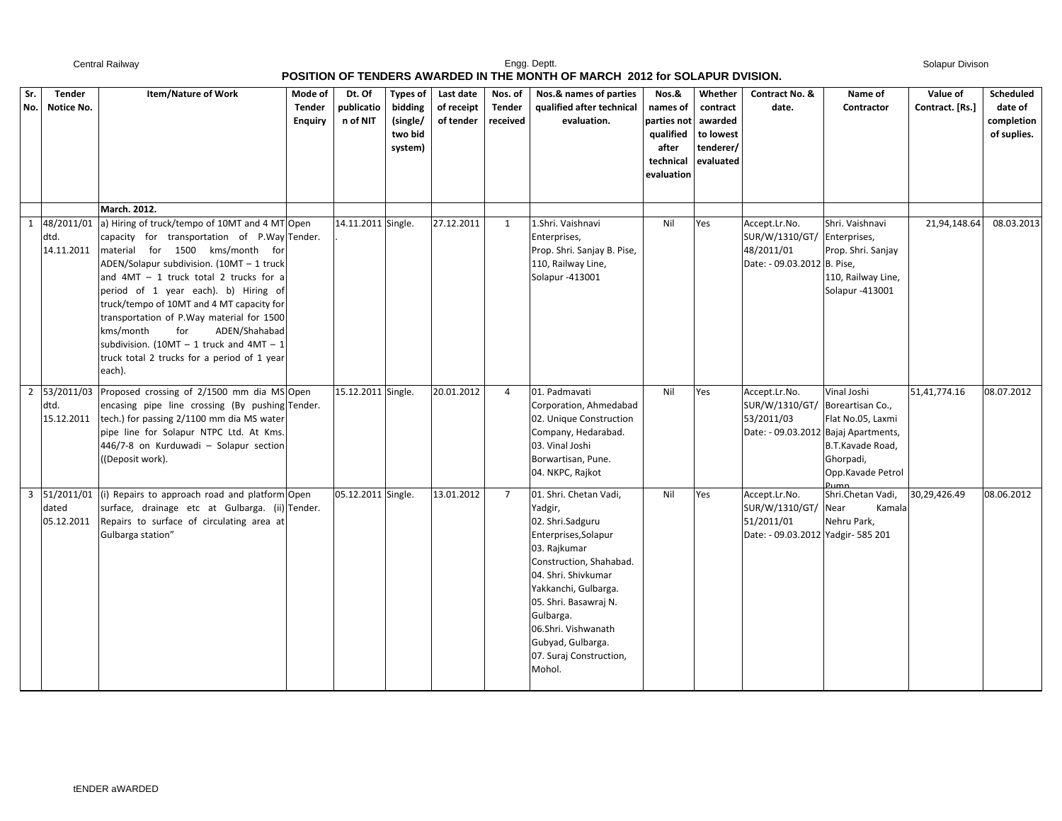## Engg. Deptt.<br>
Engg. Deptt. Central Railway **Engg. Deptt. POSITION OF TENDERS AWARDED IN THE MONTH OF MARCH 2012 for SOLAPUR DVISION.**

Solapur Divison

| POSITION OF TENDERS AWARDED IN THE MONTH OF MARCH 2012 for SOLAPUR DVISION. |                                                  |                                                                                                                                                                                                                                                                                                                                                                                                                                                                                                                        |                                            |                                  |                                                              |                                      |                               |                                                                                                                                                                                                                                                                                                |                                                                                   |                                                                       |                                                                                                        |                                                                                        |                             |                                                   |
|-----------------------------------------------------------------------------|--------------------------------------------------|------------------------------------------------------------------------------------------------------------------------------------------------------------------------------------------------------------------------------------------------------------------------------------------------------------------------------------------------------------------------------------------------------------------------------------------------------------------------------------------------------------------------|--------------------------------------------|----------------------------------|--------------------------------------------------------------|--------------------------------------|-------------------------------|------------------------------------------------------------------------------------------------------------------------------------------------------------------------------------------------------------------------------------------------------------------------------------------------|-----------------------------------------------------------------------------------|-----------------------------------------------------------------------|--------------------------------------------------------------------------------------------------------|----------------------------------------------------------------------------------------|-----------------------------|---------------------------------------------------|
|                                                                             | Tender<br>Sr.<br>Notice No.<br>No.               | <b>Item/Nature of Work</b>                                                                                                                                                                                                                                                                                                                                                                                                                                                                                             | Mode of<br><b>Tender</b><br><b>Enquiry</b> | Dt. Of<br>publicatio<br>n of NIT | <b>Types of</b><br>bidding<br>(single/<br>two bid<br>system) | Last date<br>of receipt<br>of tender | Nos. of<br>Tender<br>received | Nos.& names of parties<br>qualified after technical<br>evaluation.                                                                                                                                                                                                                             | Nos.&<br>names of<br>parties not<br>qualified<br>after<br>technical<br>evaluation | Whether<br>contract<br>awarded<br>to lowest<br>tenderer/<br>evaluated | Contract No. &<br>date.                                                                                | Name of<br>Contractor                                                                  | Value of<br>Contract. [Rs.] | Scheduled<br>date of<br>completion<br>of suplies. |
|                                                                             | 48/2011/01<br>$\mathbf{1}$<br>dtd.<br>14.11.2011 | March. 2012.<br>a) Hiring of truck/tempo of 10MT and 4 MT Open<br>capacity for transportation of P.Way Tender.<br>material for 1500 kms/month for<br>ADEN/Solapur subdivision. (10MT - 1 truck<br>and $4MT - 1$ truck total 2 trucks for a<br>period of 1 year each). b) Hiring of<br>truck/tempo of 10MT and 4 MT capacity for<br>transportation of P.Way material for 1500<br>kms/month<br>for<br>ADEN/Shahabad<br>subdivision. (10MT - 1 truck and 4MT - 1<br>truck total 2 trucks for a period of 1 year<br>each). |                                            | 14.11.2011 Single.               |                                                              | 27.12.2011                           | 1                             | 1.Shri. Vaishnavi<br>Enterprises,<br>Prop. Shri. Sanjay B. Pise,<br>110, Railway Line,<br>Solapur -413001                                                                                                                                                                                      | Nil                                                                               | Yes                                                                   | Accept.Lr.No.<br>SUR/W/1310/GT/ Enterprises,<br>48/2011/01<br>Date: - 09.03.2012 B. Pise,              | Shri. Vaishnavi<br>Prop. Shri. Sanjay<br>110, Railway Line,<br>Solapur -413001         | 21,94,148.64                | 08.03.2013                                        |
|                                                                             | 2 53/2011/03<br>dtd.<br>15.12.2011               | Proposed crossing of 2/1500 mm dia MS Open<br>encasing pipe line crossing (By pushing Tender.<br>tech.) for passing 2/1100 mm dia MS water<br>pipe line for Solapur NTPC Ltd. At Kms.<br>446/7-8 on Kurduwadi - Solapur section<br>((Deposit work).                                                                                                                                                                                                                                                                    |                                            | 15.12.2011 Single.               |                                                              | 20.01.2012                           | $\overline{4}$                | 01. Padmavati<br>Corporation, Ahmedabad<br>02. Unique Construction<br>Company, Hedarabad.<br>03. Vinal Joshi<br>Borwartisan, Pune.<br>04. NKPC, Rajkot                                                                                                                                         | Nil                                                                               | Yes                                                                   | Accept.Lr.No.<br>SUR/W/1310/GT/ Boreartisan Co.,<br>53/2011/03<br>Date: - 09.03.2012 Bajaj Apartments, | Vinal Joshi<br>Flat No.05, Laxmi<br>B.T.Kavade Road,<br>Ghorpadi,<br>Opp.Kavade Petrol | 51,41,774.16                | 08.07.2012                                        |
|                                                                             | dated<br>05.12.2011                              | 3 51/2011/01 (i) Repairs to approach road and platform Open<br>surface, drainage etc at Gulbarga. (ii) Tender.<br>Repairs to surface of circulating area at<br>Gulbarga station"                                                                                                                                                                                                                                                                                                                                       |                                            | 05.12.2011 Single.               |                                                              | 13.01.2012                           | $\overline{7}$                | 01. Shri. Chetan Vadi,<br>Yadgir,<br>02. Shri.Sadguru<br>Enterprises, Solapur<br>03. Rajkumar<br>Construction, Shahabad.<br>04. Shri. Shivkumar<br>Yakkanchi, Gulbarga.<br>05. Shri. Basawraj N.<br>Gulbarga.<br>06.Shri. Vishwanath<br>Gubyad, Gulbarga.<br>07. Suraj Construction,<br>Mohol. | Nil                                                                               | Yes                                                                   | Accept.Lr.No.<br>SUR/W/1310/GT/<br>51/2011/01<br>Date: - 09.03.2012 Yadgir- 585 201                    | Pumn<br>Shri.Chetan Vadi,<br>Near<br>Kamala<br>Nehru Park,                             | 30,29,426.49                | 08.06.2012                                        |